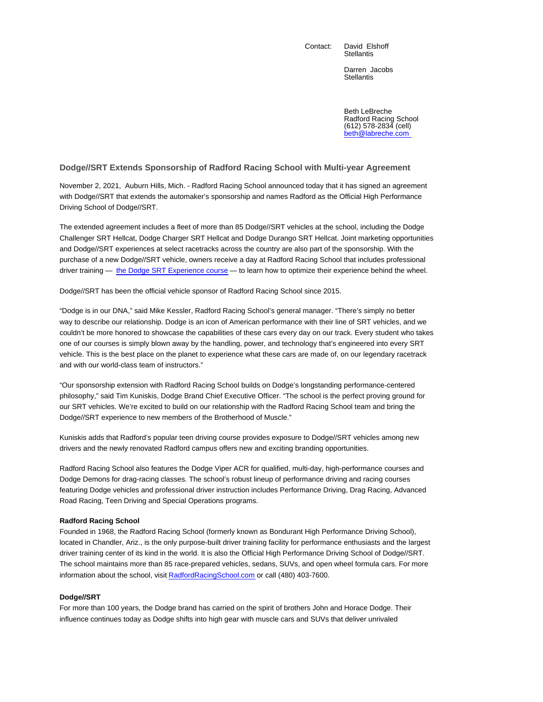Contact: David Elshoff

**Stellantis** 

Darren Jacobs **Stellantis** 

Beth LeBreche Radford Racing School (612) 578-2834 (cell) beth@labreche.com

## **Dodge//SRT Extends Sponsorship of Radford Racing School with Multi-year Agreement**

November 2, 2021, Auburn Hills, Mich. - Radford Racing School announced today that it has signed an agreement with Dodge//SRT that extends the automaker's sponsorship and names Radford as the Official High Performance Driving School of Dodge//SRT.

The extended agreement includes a fleet of more than 85 Dodge//SRT vehicles at the school, including the Dodge Challenger SRT Hellcat, Dodge Charger SRT Hellcat and Dodge Durango SRT Hellcat. Joint marketing opportunities and Dodge//SRT experiences at select racetracks across the country are also part of the sponsorship. With the purchase of a new Dodge//SRT vehicle, owners receive a day at Radford Racing School that includes professional driver training — the Dodge SRT Experience course — to learn how to optimize their experience behind the wheel.

Dodge//SRT has been the official vehicle sponsor of Radford Racing School since 2015.

"Dodge is in our DNA," said Mike Kessler, Radford Racing School's general manager. "There's simply no better way to describe our relationship. Dodge is an icon of American performance with their line of SRT vehicles, and we couldn't be more honored to showcase the capabilities of these cars every day on our track. Every student who takes one of our courses is simply blown away by the handling, power, and technology that's engineered into every SRT vehicle. This is the best place on the planet to experience what these cars are made of, on our legendary racetrack and with our world-class team of instructors."

"Our sponsorship extension with Radford Racing School builds on Dodge's longstanding performance-centered philosophy," said Tim Kuniskis, Dodge Brand Chief Executive Officer. "The school is the perfect proving ground for our SRT vehicles. We're excited to build on our relationship with the Radford Racing School team and bring the Dodge//SRT experience to new members of the Brotherhood of Muscle."

Kuniskis adds that Radford's popular teen driving course provides exposure to Dodge//SRT vehicles among new drivers and the newly renovated Radford campus offers new and exciting branding opportunities.

Radford Racing School also features the Dodge Viper ACR for qualified, multi-day, high-performance courses and Dodge Demons for drag-racing classes. The school's robust lineup of performance driving and racing courses featuring Dodge vehicles and professional driver instruction includes Performance Driving, Drag Racing, Advanced Road Racing, Teen Driving and Special Operations programs.

## **Radford Racing School**

Founded in 1968, the Radford Racing School (formerly known as Bondurant High Performance Driving School), located in Chandler, Ariz., is the only purpose-built driver training facility for performance enthusiasts and the largest driver training center of its kind in the world. It is also the Official High Performance Driving School of Dodge//SRT. The school maintains more than 85 race-prepared vehicles, sedans, SUVs, and open wheel formula cars. For more information about the school, visit RadfordRacingSchool.com or call (480) 403-7600.

## **Dodge//SRT**

For more than 100 years, the Dodge brand has carried on the spirit of brothers John and Horace Dodge. Their influence continues today as Dodge shifts into high gear with muscle cars and SUVs that deliver unrivaled